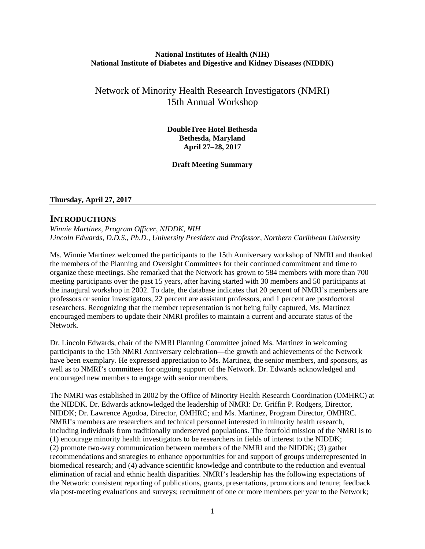### **National Institutes of Health (NIH) National Institute of Diabetes and Digestive and Kidney Diseases (NIDDK)**

# Network of Minority Health Research Investigators (NMRI) 15th Annual Workshop

**DoubleTree Hotel Bethesda Bethesda, Maryland April 27–28, 2017** 

**Draft Meeting Summary**

#### **Thursday, April 27, 2017**

## **INTRODUCTIONS**

*Winnie Martinez, Program Officer, NIDDK, NIH Lincoln Edwards, D.D.S., Ph.D., University President and Professor, Northern Caribbean University*

Ms. Winnie Martinez welcomed the participants to the 15th Anniversary workshop of NMRI and thanked the members of the Planning and Oversight Committees for their continued commitment and time to organize these meetings. She remarked that the Network has grown to 584 members with more than 700 meeting participants over the past 15 years, after having started with 30 members and 50 participants at the inaugural workshop in 2002. To date, the database indicates that 20 percent of NMRI's members are professors or senior investigators, 22 percent are assistant professors, and 1 percent are postdoctoral researchers. Recognizing that the member representation is not being fully captured, Ms. Martinez encouraged members to update their NMRI profiles to maintain a current and accurate status of the Network.

Dr. Lincoln Edwards, chair of the NMRI Planning Committee joined Ms. Martinez in welcoming participants to the 15th NMRI Anniversary celebration—the growth and achievements of the Network have been exemplary. He expressed appreciation to Ms. Martinez, the senior members, and sponsors, as well as to NMRI's committees for ongoing support of the Network. Dr. Edwards acknowledged and encouraged new members to engage with senior members.

The NMRI was established in 2002 by the Office of Minority Health Research Coordination (OMHRC) at the NIDDK. Dr. Edwards acknowledged the leadership of NMRI: Dr. Griffin P. Rodgers, Director, NIDDK; Dr. Lawrence Agodoa, Director, OMHRC; and Ms. Martinez, Program Director, OMHRC. NMRI's members are researchers and technical personnel interested in minority health research, including individuals from traditionally underserved populations. The fourfold mission of the NMRI is to (1) encourage minority health investigators to be researchers in fields of interest to the NIDDK; (2) promote two-way communication between members of the NMRI and the NIDDK; (3) gather recommendations and strategies to enhance opportunities for and support of groups underrepresented in biomedical research; and (4) advance scientific knowledge and contribute to the reduction and eventual elimination of racial and ethnic health disparities. NMRI's leadership has the following expectations of the Network: consistent reporting of publications, grants, presentations, promotions and tenure; feedback via post-meeting evaluations and surveys; recruitment of one or more members per year to the Network;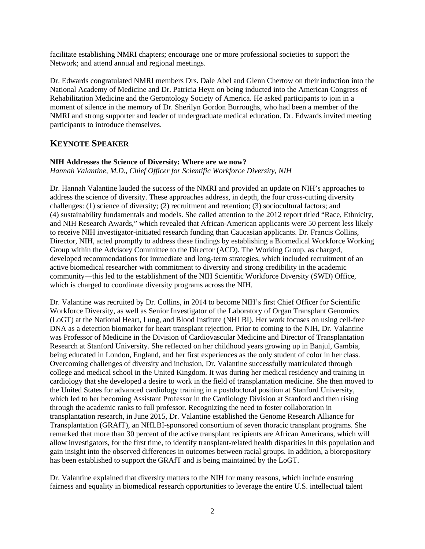facilitate establishing NMRI chapters; encourage one or more professional societies to support the Network; and attend annual and regional meetings.

Dr. Edwards congratulated NMRI members Drs. Dale Abel and Glenn Chertow on their induction into the National Academy of Medicine and Dr. Patricia Heyn on being inducted into the American Congress of Rehabilitation Medicine and the Gerontology Society of America. He asked participants to join in a moment of silence in the memory of Dr. Sherilyn Gordon Burroughs, who had been a member of the NMRI and strong supporter and leader of undergraduate medical education. Dr. Edwards invited meeting participants to introduce themselves.

# **KEYNOTE SPEAKER**

### **NIH Addresses the Science of Diversity: Where are we now?**

*Hannah Valantine, M.D., Chief Officer for Scientific Workforce Diversity, NIH*

Dr. Hannah Valantine lauded the success of the NMRI and provided an update on NIH's approaches to address the science of diversity. These approaches address, in depth, the four cross-cutting diversity challenges: (1) science of diversity; (2) recruitment and retention; (3) sociocultural factors; and (4) sustainability fundamentals and models. She called attention to the 2012 report titled "Race, Ethnicity, and NIH Research Awards," which revealed that African-American applicants were 50 percent less likely to receive NIH investigator-initiated research funding than Caucasian applicants. Dr. Francis Collins, Director, NIH, acted promptly to address these findings by establishing a Biomedical Workforce Working Group within the Advisory Committee to the Director (ACD). The Working Group, as charged, developed recommendations for immediate and long-term strategies, which included recruitment of an active biomedical researcher with commitment to diversity and strong credibility in the academic community—this led to the establishment of the NIH Scientific Workforce Diversity (SWD) Office, which is charged to coordinate diversity programs across the NIH.

Dr. Valantine was recruited by Dr. Collins, in 2014 to become NIH's first Chief Officer for Scientific Workforce Diversity, as well as Senior Investigator of the Laboratory of Organ Transplant Genomics (LoGT) at the National Heart, Lung, and Blood Institute (NHLBI). Her work focuses on using cell-free DNA as a detection biomarker for heart transplant rejection. Prior to coming to the NIH, Dr. Valantine was Professor of Medicine in the Division of Cardiovascular Medicine and Director of Transplantation Research at Stanford University. She reflected on her childhood years growing up in Banjul, Gambia, being educated in London, England, and her first experiences as the only student of color in her class. Overcoming challenges of diversity and inclusion, Dr. Valantine successfully matriculated through college and medical school in the United Kingdom. It was during her medical residency and training in cardiology that she developed a desire to work in the field of transplantation medicine. She then moved to the United States for advanced cardiology training in a postdoctoral position at Stanford University, which led to her becoming Assistant Professor in the Cardiology Division at Stanford and then rising through the academic ranks to full professor. Recognizing the need to foster collaboration in transplantation research, in June 2015, Dr. Valantine established the Genome Research Alliance for Transplantation (GRAfT), an NHLBI-sponsored consortium of seven thoracic transplant programs. She remarked that more than 30 percent of the active transplant recipients are African Americans, which will allow investigators, for the first time, to identify transplant-related health disparities in this population and gain insight into the observed differences in outcomes between racial groups. In addition, a biorepository has been established to support the GRAfT and is being maintained by the LoGT.

Dr. Valantine explained that diversity matters to the NIH for many reasons, which include ensuring fairness and equality in biomedical research opportunities to leverage the entire U.S. intellectual talent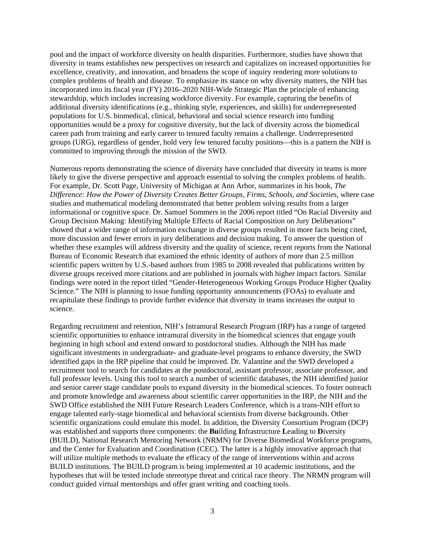pool and the impact of workforce diversity on health disparities. Furthermore, studies have shown that diversity in teams establishes new perspectives on research and capitalizes on increased opportunities for excellence, creativity, and innovation, and broadens the scope of inquiry rendering more solutions to complex problems of health and disease. To emphasize its stance on why diversity matters, the NIH has incorporated into its fiscal year (FY) 2016–2020 NIH-Wide Strategic Plan the principle of enhancing stewardship, which includes increasing workforce diversity. For example, capturing the benefits of additional diversity identifications (e.g., thinking style, experiences, and skills) for underrepresented populations for U.S. biomedical, clinical, behavioral and social science research into funding opportunities would be a proxy for cognitive diversity, but the lack of diversity across the biomedical career path from training and early career to tenured faculty remains a challenge. Underrepresented groups (URG), regardless of gender, hold very few tenured faculty positions—this is a pattern the NIH is committed to improving through the mission of the SWD.

Numerous reports demonstrating the science of diversity have concluded that diversity in teams is more likely to give the diverse perspective and approach essential to solving the complex problems of health. For example, Dr. Scott Page, University of Michigan at Ann Arbor, summarizes in his book, *The Difference: How the Power of Diversity Creates Better Groups, Firms, Schools, and Societies*, where case studies and mathematical modeling demonstrated that better problem solving results from a larger informational or cognitive space. Dr. Samuel Sommers in the 2006 report titled "On Racial Diversity and Group Decision Making: Identifying Multiple Effects of Racial Composition on Jury Deliberations" showed that a wider range of information exchange in diverse groups resulted in more facts being cited, more discussion and fewer errors in jury deliberations and decision making. To answer the question of whether these examples will address diversity and the quality of science, recent reports from the National Bureau of Economic Research that examined the ethnic identity of authors of more than 2.5 million scientific papers written by U.S.-based authors from 1985 to 2008 revealed that publications written by diverse groups received more citations and are published in journals with higher impact factors. Similar findings were noted in the report titled "Gender-Heterogeneous Working Groups Produce Higher Quality Science." The NIH is planning to issue funding opportunity announcements (FOAs) to evaluate and recapitulate these findings to provide further evidence that diversity in teams increases the output to science.

Regarding recruitment and retention, NIH's Intramural Research Program (IRP) has a range of targeted scientific opportunities to enhance intramural diversity in the biomedical sciences that engage youth beginning in high school and extend onward to postdoctoral studies. Although the NIH has made significant investments in undergraduate- and graduate-level programs to enhance diversity, the SWD identified gaps in the IRP pipeline that could be improved. Dr. Valantine and the SWD developed a recruitment tool to search for candidates at the postdoctoral, assistant professor, associate professor, and full professor levels. Using this tool to search a number of scientific databases, the NIH identified junior and senior career stage candidate pools to expand diversity in the biomedical sciences. To foster outreach and promote knowledge and awareness about scientific career opportunities in the IRP, the NIH and the SWD Office established the NIH Future Research Leaders Conference, which is a trans-NIH effort to engage talented early-stage biomedical and behavioral scientists from diverse backgrounds. Other scientific organizations could emulate this model. In addition, the Diversity Consortium Program (DCP) was established and supports three components: the **Bu**ilding **I**nfrastructure **L**eading to **D**iversity (BUILD), National Research Mentoring Network (NRMN) for Diverse Biomedical Workforce programs, and the Center for Evaluation and Coordination (CEC). The latter is a highly innovative approach that will utilize multiple methods to evaluate the efficacy of the range of interventions within and across BUILD institutions. The BUILD program is being implemented at 10 academic institutions, and the hypotheses that will be tested include stereotype threat and critical race theory. The NRMN program will conduct guided virtual mentorships and offer grant writing and coaching tools.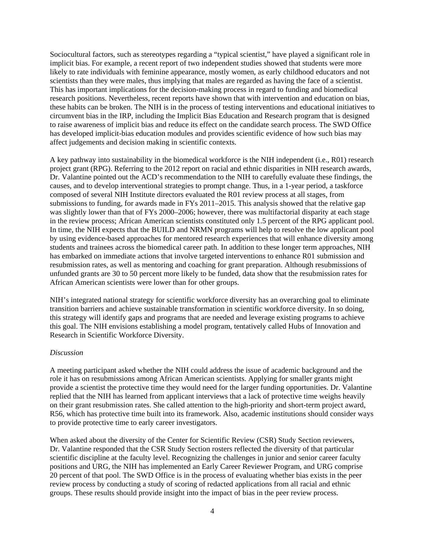Sociocultural factors, such as stereotypes regarding a "typical scientist," have played a significant role in implicit bias. For example, a recent report of two independent studies showed that students were more likely to rate individuals with feminine appearance, mostly women, as early childhood educators and not scientists than they were males, thus implying that males are regarded as having the face of a scientist. This has important implications for the decision-making process in regard to funding and biomedical research positions. Nevertheless, recent reports have shown that with intervention and education on bias, these habits can be broken. The NIH is in the process of testing interventions and educational initiatives to circumvent bias in the IRP, including the Implicit Bias Education and Research program that is designed to raise awareness of implicit bias and reduce its effect on the candidate search process. The SWD Office has developed implicit-bias education modules and provides scientific evidence of how such bias may affect judgements and decision making in scientific contexts.

A key pathway into sustainability in the biomedical workforce is the NIH independent (i.e., R01) research project grant (RPG). Referring to the 2012 report on racial and ethnic disparities in NIH research awards, Dr. Valantine pointed out the ACD's recommendation to the NIH to carefully evaluate these findings, the causes, and to develop interventional strategies to prompt change. Thus, in a 1-year period, a taskforce composed of several NIH Institute directors evaluated the R01 review process at all stages, from submissions to funding, for awards made in FYs 2011–2015. This analysis showed that the relative gap was slightly lower than that of FYs 2000–2006; however, there was multifactorial disparity at each stage in the review process; African American scientists constituted only 1.5 percent of the RPG applicant pool. In time, the NIH expects that the BUILD and NRMN programs will help to resolve the low applicant pool by using evidence-based approaches for mentored research experiences that will enhance diversity among students and trainees across the biomedical career path. In addition to these longer term approaches, NIH has embarked on immediate actions that involve targeted interventions to enhance R01 submission and resubmission rates, as well as mentoring and coaching for grant preparation. Although resubmissions of unfunded grants are 30 to 50 percent more likely to be funded, data show that the resubmission rates for African American scientists were lower than for other groups.

NIH's integrated national strategy for scientific workforce diversity has an overarching goal to eliminate transition barriers and achieve sustainable transformation in scientific workforce diversity. In so doing, this strategy will identify gaps and programs that are needed and leverage existing programs to achieve this goal. The NIH envisions establishing a model program, tentatively called Hubs of Innovation and Research in Scientific Workforce Diversity.

#### *Discussion*

A meeting participant asked whether the NIH could address the issue of academic background and the role it has on resubmissions among African American scientists. Applying for smaller grants might provide a scientist the protective time they would need for the larger funding opportunities. Dr. Valantine replied that the NIH has learned from applicant interviews that a lack of protective time weighs heavily on their grant resubmission rates. She called attention to the high-priority and short-term project award, R56, which has protective time built into its framework. Also, academic institutions should consider ways to provide protective time to early career investigators.

When asked about the diversity of the Center for Scientific Review (CSR) Study Section reviewers, Dr. Valantine responded that the CSR Study Section rosters reflected the diversity of that particular scientific discipline at the faculty level. Recognizing the challenges in junior and senior career faculty positions and URG, the NIH has implemented an Early Career Reviewer Program, and URG comprise 20 percent of that pool. The SWD Office is in the process of evaluating whether bias exists in the peer review process by conducting a study of scoring of redacted applications from all racial and ethnic groups. These results should provide insight into the impact of bias in the peer review process.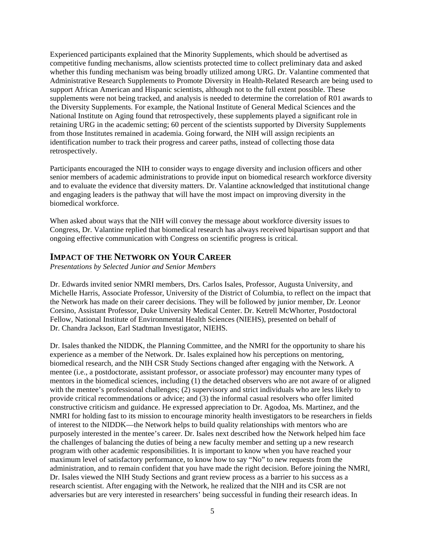Experienced participants explained that the Minority Supplements, which should be advertised as competitive funding mechanisms, allow scientists protected time to collect preliminary data and asked whether this funding mechanism was being broadly utilized among URG. Dr. Valantine commented that Administrative Research Supplements to Promote Diversity in Health-Related Research are being used to support African American and Hispanic scientists, although not to the full extent possible. These supplements were not being tracked, and analysis is needed to determine the correlation of R01 awards to the Diversity Supplements. For example, the National Institute of General Medical Sciences and the National Institute on Aging found that retrospectively, these supplements played a significant role in retaining URG in the academic setting; 60 percent of the scientists supported by Diversity Supplements from those Institutes remained in academia. Going forward, the NIH will assign recipients an identification number to track their progress and career paths, instead of collecting those data retrospectively.

Participants encouraged the NIH to consider ways to engage diversity and inclusion officers and other senior members of academic administrations to provide input on biomedical research workforce diversity and to evaluate the evidence that diversity matters. Dr. Valantine acknowledged that institutional change and engaging leaders is the pathway that will have the most impact on improving diversity in the biomedical workforce.

When asked about ways that the NIH will convey the message about workforce diversity issues to Congress, Dr. Valantine replied that biomedical research has always received bipartisan support and that ongoing effective communication with Congress on scientific progress is critical.

## **IMPACT OF THE NETWORK ON YOUR CAREER**

*Presentations by Selected Junior and Senior Members*

Dr. Edwards invited senior NMRI members, Drs. Carlos Isales, Professor, Augusta University, and Michelle Harris, Associate Professor, University of the District of Columbia, to reflect on the impact that the Network has made on their career decisions. They will be followed by junior member, Dr. Leonor Corsino, Assistant Professor, Duke University Medical Center. Dr. Ketrell McWhorter, Postdoctoral Fellow, National Institute of Environmental Health Sciences (NIEHS), presented on behalf of Dr. Chandra Jackson, Earl Stadtman Investigator, NIEHS.

Dr. Isales thanked the NIDDK, the Planning Committee, and the NMRI for the opportunity to share his experience as a member of the Network. Dr. Isales explained how his perceptions on mentoring, biomedical research, and the NIH CSR Study Sections changed after engaging with the Network. A mentee (i.e., a postdoctorate, assistant professor, or associate professor) may encounter many types of mentors in the biomedical sciences, including (1) the detached observers who are not aware of or aligned with the mentee's professional challenges; (2) supervisory and strict individuals who are less likely to provide critical recommendations or advice; and (3) the informal casual resolvers who offer limited constructive criticism and guidance. He expressed appreciation to Dr. Agodoa, Ms. Martinez, and the NMRI for holding fast to its mission to encourage minority health investigators to be researchers in fields of interest to the NIDDK—the Network helps to build quality relationships with mentors who are purposely interested in the mentee's career. Dr. Isales next described how the Network helped him face the challenges of balancing the duties of being a new faculty member and setting up a new research program with other academic responsibilities. It is important to know when you have reached your maximum level of satisfactory performance, to know how to say "No" to new requests from the administration, and to remain confident that you have made the right decision. Before joining the NMRI, Dr. Isales viewed the NIH Study Sections and grant review process as a barrier to his success as a research scientist. After engaging with the Network, he realized that the NIH and its CSR are not adversaries but are very interested in researchers' being successful in funding their research ideas. In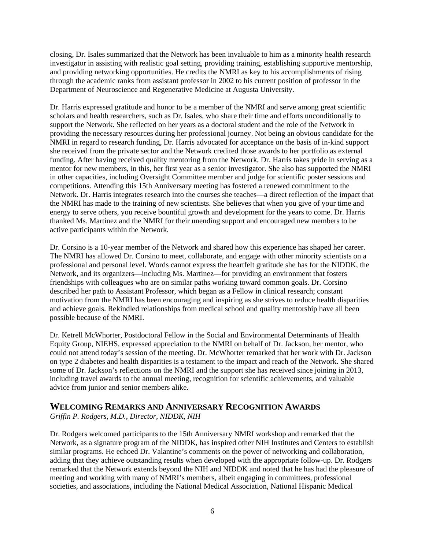closing, Dr. Isales summarized that the Network has been invaluable to him as a minority health research investigator in assisting with realistic goal setting, providing training, establishing supportive mentorship, and providing networking opportunities. He credits the NMRI as key to his accomplishments of rising through the academic ranks from assistant professor in 2002 to his current position of professor in the Department of Neuroscience and Regenerative Medicine at Augusta University.

Dr. Harris expressed gratitude and honor to be a member of the NMRI and serve among great scientific scholars and health researchers, such as Dr. Isales, who share their time and efforts unconditionally to support the Network. She reflected on her years as a doctoral student and the role of the Network in providing the necessary resources during her professional journey. Not being an obvious candidate for the NMRI in regard to research funding, Dr. Harris advocated for acceptance on the basis of in-kind support she received from the private sector and the Network credited those awards to her portfolio as external funding. After having received quality mentoring from the Network, Dr. Harris takes pride in serving as a mentor for new members, in this, her first year as a senior investigator. She also has supported the NMRI in other capacities, including Oversight Committee member and judge for scientific poster sessions and competitions. Attending this 15th Anniversary meeting has fostered a renewed commitment to the Network. Dr. Harris integrates research into the courses she teaches—a direct reflection of the impact that the NMRI has made to the training of new scientists. She believes that when you give of your time and energy to serve others, you receive bountiful growth and development for the years to come. Dr. Harris thanked Ms. Martinez and the NMRI for their unending support and encouraged new members to be active participants within the Network.

Dr. Corsino is a 10-year member of the Network and shared how this experience has shaped her career. The NMRI has allowed Dr. Corsino to meet, collaborate, and engage with other minority scientists on a professional and personal level. Words cannot express the heartfelt gratitude she has for the NIDDK, the Network, and its organizers—including Ms. Martinez—for providing an environment that fosters friendships with colleagues who are on similar paths working toward common goals. Dr. Corsino described her path to Assistant Professor, which began as a Fellow in clinical research; constant motivation from the NMRI has been encouraging and inspiring as she strives to reduce health disparities and achieve goals. Rekindled relationships from medical school and quality mentorship have all been possible because of the NMRI.

Dr. Ketrell McWhorter, Postdoctoral Fellow in the Social and Environmental Determinants of Health Equity Group, NIEHS, expressed appreciation to the NMRI on behalf of Dr. Jackson, her mentor, who could not attend today's session of the meeting. Dr. McWhorter remarked that her work with Dr. Jackson on type 2 diabetes and health disparities is a testament to the impact and reach of the Network. She shared some of Dr. Jackson's reflections on the NMRI and the support she has received since joining in 2013, including travel awards to the annual meeting, recognition for scientific achievements, and valuable advice from junior and senior members alike.

## **WELCOMING REMARKS AND ANNIVERSARY RECOGNITION AWARDS**

*Griffin P. Rodgers, M.D., Director, NIDDK, NIH*

Dr. Rodgers welcomed participants to the 15th Anniversary NMRI workshop and remarked that the Network, as a signature program of the NIDDK, has inspired other NIH Institutes and Centers to establish similar programs. He echoed Dr. Valantine's comments on the power of networking and collaboration, adding that they achieve outstanding results when developed with the appropriate follow-up. Dr. Rodgers remarked that the Network extends beyond the NIH and NIDDK and noted that he has had the pleasure of meeting and working with many of NMRI's members, albeit engaging in committees, professional societies, and associations, including the National Medical Association, National Hispanic Medical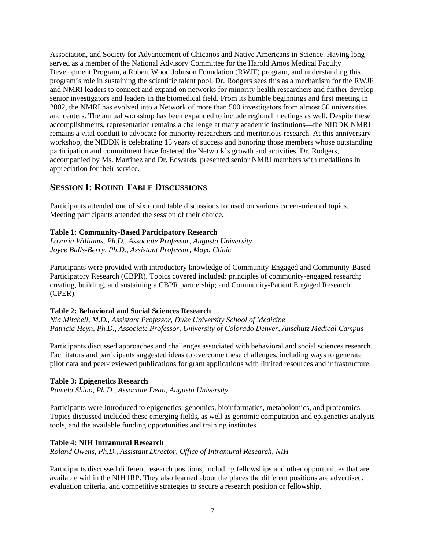Association, and Society for Advancement of Chicanos and Native Americans in Science. Having long served as a member of the National Advisory Committee for the Harold Amos Medical Faculty Development Program, a Robert Wood Johnson Foundation (RWJF) program, and understanding this program's role in sustaining the scientific talent pool, Dr. Rodgers sees this as a mechanism for the RWJF and NMRI leaders to connect and expand on networks for minority health researchers and further develop senior investigators and leaders in the biomedical field. From its humble beginnings and first meeting in 2002, the NMRI has evolved into a Network of more than 500 investigators from almost 50 universities and centers. The annual workshop has been expanded to include regional meetings as well. Despite these accomplishments, representation remains a challenge at many academic institutions—the NIDDK NMRI remains a vital conduit to advocate for minority researchers and meritorious research. At this anniversary workshop, the NIDDK is celebrating 15 years of success and honoring those members whose outstanding participation and commitment have fostered the Network's growth and activities. Dr. Rodgers, accompanied by Ms. Martinez and Dr. Edwards, presented senior NMRI members with medallions in appreciation for their service.

## **SESSION I: ROUND TABLE DISCUSSIONS**

Participants attended one of six round table discussions focused on various career-oriented topics. Meeting participants attended the session of their choice.

### **Table 1: Community-Based Participatory Research**

*Lovoria Williams, Ph.D., Associate Professor, Augusta University Joyce Balls-Berry, Ph.D., Assistant Professor, Mayo Clinic*

Participants were provided with introductory knowledge of Community-Engaged and Community-Based Participatory Research (CBPR). Topics covered included: principles of community-engaged research; creating, building, and sustaining a CBPR partnership; and Community-Patient Engaged Research (CPER).

#### **Table 2: Behavioral and Social Sciences Research**

*Nia Mitchell, M.D., Assistant Professor, Duke University School of Medicine Patricia Heyn, Ph.D., Associate Professor, University of Colorado Denver, Anschutz Medical Campus*

Participants discussed approaches and challenges associated with behavioral and social sciences research. Facilitators and participants suggested ideas to overcome these challenges, including ways to generate pilot data and peer-reviewed publications for grant applications with limited resources and infrastructure.

#### **Table 3: Epigenetics Research**

*Pamela Shiao, Ph.D., Associate Dean, Augusta University*

Participants were introduced to epigenetics, genomics, bioinformatics, metabolomics, and proteomics. Topics discussed included these emerging fields, as well as genomic computation and epigenetics analysis tools, and the available funding opportunities and training institutes.

### **Table 4: NIH Intramural Research**

*Roland Owens, Ph.D., Assistant Director, Office of Intramural Research, NIH*

Participants discussed different research positions, including fellowships and other opportunities that are available within the NIH IRP. They also learned about the places the different positions are advertised, evaluation criteria, and competitive strategies to secure a research position or fellowship.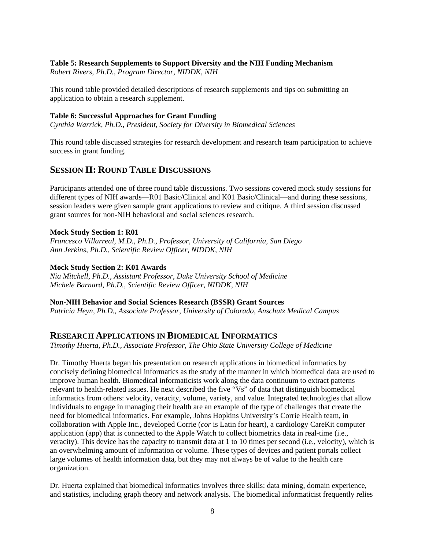## **Table 5: Research Supplements to Support Diversity and the NIH Funding Mechanism**

*Robert Rivers, Ph.D., Program Director, NIDDK, NIH*

This round table provided detailed descriptions of research supplements and tips on submitting an application to obtain a research supplement.

### **Table 6: Successful Approaches for Grant Funding**

*Cynthia Warrick, Ph.D., President, Society for Diversity in Biomedical Sciences*

This round table discussed strategies for research development and research team participation to achieve success in grant funding.

## **SESSION II: ROUND TABLE DISCUSSIONS**

Participants attended one of three round table discussions. Two sessions covered mock study sessions for different types of NIH awards—R01 Basic/Clinical and K01 Basic/Clinical—and during these sessions, session leaders were given sample grant applications to review and critique. A third session discussed grant sources for non-NIH behavioral and social sciences research.

### **Mock Study Section 1: R01**

*Francesco Villarreal, M.D., Ph.D., Professor, University of California, San Diego Ann Jerkins, Ph.D., Scientific Review Officer, NIDDK, NIH*

### **Mock Study Section 2: K01 Awards**

*Nia Mitchell, Ph.D., Assistant Professor, Duke University School of Medicine Michele Barnard, Ph.D., Scientific Review Officer, NIDDK, NIH*

#### **Non-NIH Behavior and Social Sciences Research (BSSR) Grant Sources**

*Patricia Heyn, Ph.D., Associate Professor, University of Colorado, Anschutz Medical Campus*

## **RESEARCH APPLICATIONS IN BIOMEDICAL INFORMATICS**

*Timothy Huerta, Ph.D., Associate Professor, The Ohio State University College of Medicine*

Dr. Timothy Huerta began his presentation on research applications in biomedical informatics by concisely defining biomedical informatics as the study of the manner in which biomedical data are used to improve human health. Biomedical informaticists work along the data continuum to extract patterns relevant to health-related issues. He next described the five "Vs" of data that distinguish biomedical informatics from others: velocity, veracity, volume, variety, and value. Integrated technologies that allow individuals to engage in managing their health are an example of the type of challenges that create the need for biomedical informatics. For example, Johns Hopkins University's Corrie Health team, in collaboration with Apple Inc., developed Corrie (*cor* is Latin for heart), a cardiology CareKit computer application (app) that is connected to the Apple Watch to collect biometrics data in real-time (i.e., veracity). This device has the capacity to transmit data at 1 to 10 times per second (i.e., velocity), which is an overwhelming amount of information or volume. These types of devices and patient portals collect large volumes of health information data, but they may not always be of value to the health care organization.

Dr. Huerta explained that biomedical informatics involves three skills: data mining, domain experience, and statistics, including graph theory and network analysis. The biomedical informaticist frequently relies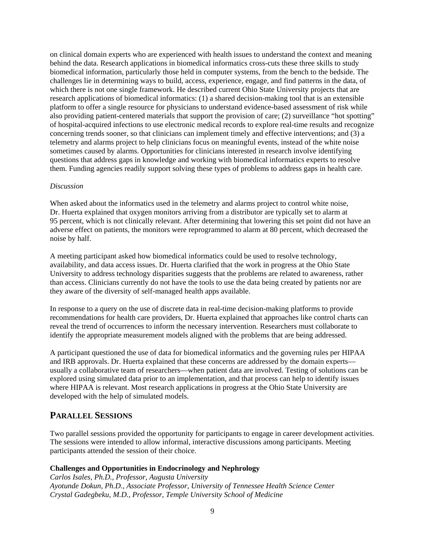on clinical domain experts who are experienced with health issues to understand the context and meaning behind the data. Research applications in biomedical informatics cross-cuts these three skills to study biomedical information, particularly those held in computer systems, from the bench to the bedside. The challenges lie in determining ways to build, access, experience, engage, and find patterns in the data, of which there is not one single framework. He described current Ohio State University projects that are research applications of biomedical informatics: (1) a shared decision-making tool that is an extensible platform to offer a single resource for physicians to understand evidence-based assessment of risk while also providing patient-centered materials that support the provision of care; (2) surveillance "hot spotting" of hospital-acquired infections to use electronic medical records to explore real-time results and recognize concerning trends sooner, so that clinicians can implement timely and effective interventions; and (3) a telemetry and alarms project to help clinicians focus on meaningful events, instead of the white noise sometimes caused by alarms. Opportunities for clinicians interested in research involve identifying questions that address gaps in knowledge and working with biomedical informatics experts to resolve them. Funding agencies readily support solving these types of problems to address gaps in health care.

### *Discussion*

When asked about the informatics used in the telemetry and alarms project to control white noise, Dr. Huerta explained that oxygen monitors arriving from a distributor are typically set to alarm at 95 percent, which is not clinically relevant. After determining that lowering this set point did not have an adverse effect on patients, the monitors were reprogrammed to alarm at 80 percent, which decreased the noise by half.

A meeting participant asked how biomedical informatics could be used to resolve technology, availability, and data access issues. Dr. Huerta clarified that the work in progress at the Ohio State University to address technology disparities suggests that the problems are related to awareness, rather than access. Clinicians currently do not have the tools to use the data being created by patients nor are they aware of the diversity of self-managed health apps available.

In response to a query on the use of discrete data in real-time decision-making platforms to provide recommendations for health care providers, Dr. Huerta explained that approaches like control charts can reveal the trend of occurrences to inform the necessary intervention. Researchers must collaborate to identify the appropriate measurement models aligned with the problems that are being addressed.

A participant questioned the use of data for biomedical informatics and the governing rules per HIPAA and IRB approvals. Dr. Huerta explained that these concerns are addressed by the domain experts usually a collaborative team of researchers—when patient data are involved. Testing of solutions can be explored using simulated data prior to an implementation, and that process can help to identify issues where HIPAA is relevant. Most research applications in progress at the Ohio State University are developed with the help of simulated models.

## **PARALLEL SESSIONS**

Two parallel sessions provided the opportunity for participants to engage in career development activities. The sessions were intended to allow informal, interactive discussions among participants. Meeting participants attended the session of their choice.

### **Challenges and Opportunities in Endocrinology and Nephrology**

*Carlos Isales, Ph.D., Professor, Augusta University Ayotunde Dokun, Ph.D., Associate Professor, University of Tennessee Health Science Center Crystal Gadegbeku, M.D., Professor, Temple University School of Medicine*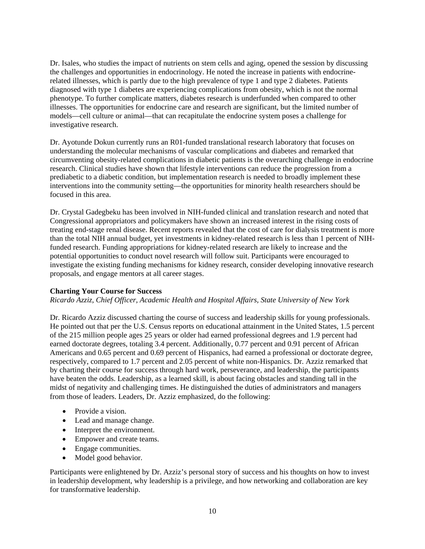Dr. Isales, who studies the impact of nutrients on stem cells and aging, opened the session by discussing the challenges and opportunities in endocrinology. He noted the increase in patients with endocrinerelated illnesses, which is partly due to the high prevalence of type 1 and type 2 diabetes. Patients diagnosed with type 1 diabetes are experiencing complications from obesity, which is not the normal phenotype. To further complicate matters, diabetes research is underfunded when compared to other illnesses. The opportunities for endocrine care and research are significant, but the limited number of models—cell culture or animal—that can recapitulate the endocrine system poses a challenge for investigative research.

Dr. Ayotunde Dokun currently runs an R01-funded translational research laboratory that focuses on understanding the molecular mechanisms of vascular complications and diabetes and remarked that circumventing obesity-related complications in diabetic patients is the overarching challenge in endocrine research. Clinical studies have shown that lifestyle interventions can reduce the progression from a prediabetic to a diabetic condition, but implementation research is needed to broadly implement these interventions into the community setting—the opportunities for minority health researchers should be focused in this area.

Dr. Crystal Gadegbeku has been involved in NIH-funded clinical and translation research and noted that Congressional appropriators and policymakers have shown an increased interest in the rising costs of treating end-stage renal disease. Recent reports revealed that the cost of care for dialysis treatment is more than the total NIH annual budget, yet investments in kidney-related research is less than 1 percent of NIHfunded research. Funding appropriations for kidney-related research are likely to increase and the potential opportunities to conduct novel research will follow suit. Participants were encouraged to investigate the existing funding mechanisms for kidney research, consider developing innovative research proposals, and engage mentors at all career stages.

### **Charting Your Course for Success**

*Ricardo Azziz, Chief Officer, Academic Health and Hospital Affairs, State University of New York*

Dr. Ricardo Azziz discussed charting the course of success and leadership skills for young professionals. He pointed out that per the U.S. Census reports on educational attainment in the United States, 1.5 percent of the 215 million people ages 25 years or older had earned professional degrees and 1.9 percent had earned doctorate degrees, totaling 3.4 percent. Additionally, 0.77 percent and 0.91 percent of African Americans and 0.65 percent and 0.69 percent of Hispanics, had earned a professional or doctorate degree, respectively, compared to 1.7 percent and 2.05 percent of white non-Hispanics. Dr. Azziz remarked that by charting their course for success through hard work, perseverance, and leadership, the participants have beaten the odds. Leadership, as a learned skill, is about facing obstacles and standing tall in the midst of negativity and challenging times. He distinguished the duties of administrators and managers from those of leaders. Leaders, Dr. Azziz emphasized, do the following:

- Provide a vision.
- Lead and manage change.
- Interpret the environment.
- Empower and create teams.
- Engage communities.
- Model good behavior.

Participants were enlightened by Dr. Azziz's personal story of success and his thoughts on how to invest in leadership development, why leadership is a privilege, and how networking and collaboration are key for transformative leadership.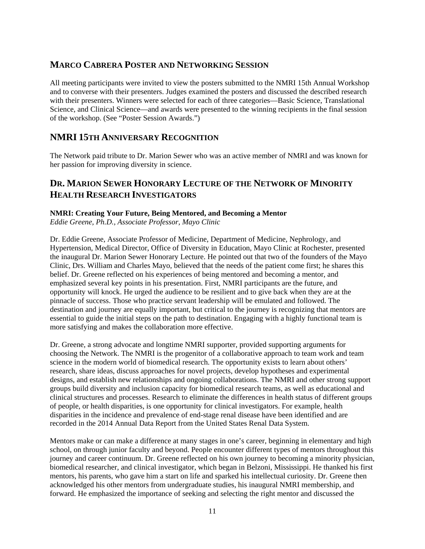# **MARCO CABRERA POSTER AND NETWORKING SESSION**

All meeting participants were invited to view the posters submitted to the NMRI 15th Annual Workshop and to converse with their presenters. Judges examined the posters and discussed the described research with their presenters. Winners were selected for each of three categories—Basic Science, Translational Science, and Clinical Science—and awards were presented to the winning recipients in the final session of the workshop. (See ["Poster Session Awards.](#page-14-0)")

# **NMRI 15TH ANNIVERSARY RECOGNITION**

The Network paid tribute to Dr. Marion Sewer who was an active member of NMRI and was known for her passion for improving diversity in science.

# **DR. MARION SEWER HONORARY LECTURE OF THE NETWORK OF MINORITY HEALTH RESEARCH INVESTIGATORS**

### **NMRI: Creating Your Future, Being Mentored, and Becoming a Mentor**

*Eddie Greene, Ph.D., Associate Professor, Mayo Clinic*

Dr. Eddie Greene, Associate Professor of Medicine, Department of Medicine, Nephrology, and Hypertension, Medical Director, Office of Diversity in Education, Mayo Clinic at Rochester, presented the inaugural Dr. Marion Sewer Honorary Lecture. He pointed out that two of the founders of the Mayo Clinic, Drs. William and Charles Mayo, believed that the needs of the patient come first; he shares this belief. Dr. Greene reflected on his experiences of being mentored and becoming a mentor, and emphasized several key points in his presentation. First, NMRI participants are the future, and opportunity will knock. He urged the audience to be resilient and to give back when they are at the pinnacle of success. Those who practice servant leadership will be emulated and followed. The destination and journey are equally important, but critical to the journey is recognizing that mentors are essential to guide the initial steps on the path to destination. Engaging with a highly functional team is more satisfying and makes the collaboration more effective.

Dr. Greene, a strong advocate and longtime NMRI supporter, provided supporting arguments for choosing the Network. The NMRI is the progenitor of a collaborative approach to team work and team science in the modern world of biomedical research. The opportunity exists to learn about others' research, share ideas, discuss approaches for novel projects, develop hypotheses and experimental designs, and establish new relationships and ongoing collaborations. The NMRI and other strong support groups build diversity and inclusion capacity for biomedical research teams, as well as educational and clinical structures and processes. Research to eliminate the differences in health status of different groups of people, or health disparities, is one opportunity for clinical investigators. For example, health disparities in the incidence and prevalence of end-stage renal disease have been identified and are recorded in the 2014 Annual Data Report from the United States Renal Data System.

Mentors make or can make a difference at many stages in one's career, beginning in elementary and high school, on through junior faculty and beyond. People encounter different types of mentors throughout this journey and career continuum. Dr. Greene reflected on his own journey to becoming a minority physician, biomedical researcher, and clinical investigator, which began in Belzoni, Mississippi. He thanked his first mentors, his parents, who gave him a start on life and sparked his intellectual curiosity. Dr. Greene then acknowledged his other mentors from undergraduate studies, his inaugural NMRI membership, and forward. He emphasized the importance of seeking and selecting the right mentor and discussed the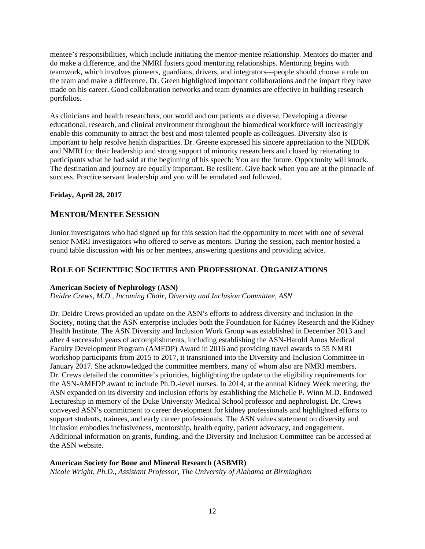mentee's responsibilities, which include initiating the mentor-mentee relationship. Mentors do matter and do make a difference, and the NMRI fosters good mentoring relationships. Mentoring begins with teamwork, which involves pioneers, guardians, drivers, and integrators—people should choose a role on the team and make a difference. Dr. Green highlighted important collaborations and the impact they have made on his career. Good collaboration networks and team dynamics are effective in building research portfolios.

As clinicians and health researchers, our world and our patients are diverse. Developing a diverse educational, research, and clinical environment throughout the biomedical workforce will increasingly enable this community to attract the best and most talented people as colleagues. Diversity also is important to help resolve health disparities. Dr. Greene expressed his sincere appreciation to the NIDDK and NMRI for their leadership and strong support of minority researchers and closed by reiterating to participants what he had said at the beginning of his speech: You are the future. Opportunity will knock. The destination and journey are equally important. Be resilient. Give back when you are at the pinnacle of success. Practice servant leadership and you will be emulated and followed.

## **Friday, April 28, 2017**

# **MENTOR/MENTEE SESSION**

Junior investigators who had signed up for this session had the opportunity to meet with one of several senior NMRI investigators who offered to serve as mentors. During the session, each mentor hosted a round table discussion with his or her mentees, answering questions and providing advice.

## **ROLE OF SCIENTIFIC SOCIETIES AND PROFESSIONAL ORGANIZATIONS**

### **American Society of Nephrology (ASN)**

*Deidre Crews, M.D., Incoming Chair, Diversity and Inclusion Committee, ASN*

Dr. Deidre Crews provided an update on the ASN's efforts to address diversity and inclusion in the Society, noting that the ASN enterprise includes both the Foundation for Kidney Research and the Kidney Health Institute. The ASN Diversity and Inclusion Work Group was established in December 2013 and after 4 successful years of accomplishments, including establishing the ASN-Harold Amos Medical Faculty Development Program (AMFDP) Award in 2016 and providing travel awards to 55 NMRI workshop participants from 2015 to 2017, it transitioned into the Diversity and Inclusion Committee in January 2017. She acknowledged the committee members, many of whom also are NMRI members. Dr. Crews detailed the committee's priorities, highlighting the update to the eligibility requirements for the ASN-AMFDP award to include Ph.D.-level nurses. In 2014, at the annual Kidney Week meeting, the ASN expanded on its diversity and inclusion efforts by establishing the Michelle P. Winn M.D. Endowed Lectureship in memory of the Duke University Medical School professor and nephrologist. Dr. Crews conveyed ASN's commitment to career development for kidney professionals and highlighted efforts to support students, trainees, and early career professionals. The ASN values statement on diversity and inclusion embodies inclusiveness, mentorship, health equity, patient advocacy, and engagement. Additional information on grants, funding, and the Diversity and Inclusion Committee can be accessed at the ASN website.

### **American Society for Bone and Mineral Research (ASBMR)**

*Nicole Wright, Ph.D., Assistant Professor, The University of Alabama at Birmingham*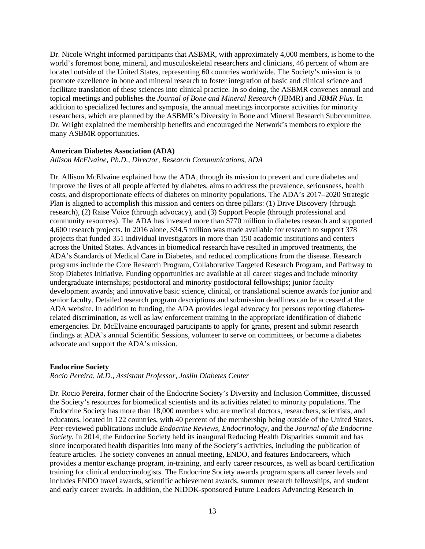Dr. Nicole Wright informed participants that ASBMR, with approximately 4,000 members, is home to the world's foremost bone, mineral, and musculoskeletal researchers and clinicians, 46 percent of whom are located outside of the United States, representing 60 countries worldwide. The Society's mission is to promote excellence in bone and mineral research to foster integration of basic and clinical science and facilitate translation of these sciences into clinical practice. In so doing, the ASBMR convenes annual and topical meetings and publishes the *Journal of Bone and Mineral Research* (JBMR) and *JBMR Plus*. In addition to specialized lectures and symposia, the annual meetings incorporate activities for minority researchers, which are planned by the ASBMR's Diversity in Bone and Mineral Research Subcommittee. Dr. Wright explained the membership benefits and encouraged the Network's members to explore the many ASBMR opportunities.

#### **American Diabetes Association (ADA)**

### *Allison McElvaine, Ph.D., Director, Research Communications, ADA*

Dr. Allison McElvaine explained how the ADA, through its mission to prevent and cure diabetes and improve the lives of all people affected by diabetes, aims to address the prevalence, seriousness, health costs, and disproportionate effects of diabetes on minority populations. The ADA's 2017–2020 Strategic Plan is aligned to accomplish this mission and centers on three pillars: (1) Drive Discovery (through research), (2) Raise Voice (through advocacy), and (3) Support People (through professional and community resources). The ADA has invested more than \$770 million in diabetes research and supported 4,600 research projects. In 2016 alone, \$34.5 million was made available for research to support 378 projects that funded 351 individual investigators in more than 150 academic institutions and centers across the United States. Advances in biomedical research have resulted in improved treatments, the ADA's Standards of Medical Care in Diabetes, and reduced complications from the disease. Research programs include the Core Research Program, Collaborative Targeted Research Program, and Pathway to Stop Diabetes Initiative. Funding opportunities are available at all career stages and include minority undergraduate internships; postdoctoral and minority postdoctoral fellowships; junior faculty development awards; and innovative basic science, clinical, or translational science awards for junior and senior faculty. Detailed research program descriptions and submission deadlines can be accessed at the ADA website. In addition to funding, the ADA provides legal advocacy for persons reporting diabetesrelated discrimination, as well as law enforcement training in the appropriate identification of diabetic emergencies. Dr. McElvaine encouraged participants to apply for grants, present and submit research findings at ADA's annual Scientific Sessions, volunteer to serve on committees, or become a diabetes advocate and support the ADA's mission.

#### **Endocrine Society**

*Rocio Pereira, M.D., Assistant Professor, Joslin Diabetes Center* 

Dr. Rocio Pereira, former chair of the Endocrine Society's Diversity and Inclusion Committee, discussed the Society's resources for biomedical scientists and its activities related to minority populations. The Endocrine Society has more than 18,000 members who are medical doctors, researchers, scientists, and educators, located in 122 countries, with 40 percent of the membership being outside of the United States. Peer-reviewed publications include *Endocrine Reviews, Endocrinology,* and the *Journal of the Endocrine Society.* In 2014, the Endocrine Society held its inaugural Reducing Health Disparities summit and has since incorporated health disparities into many of the Society's activities, including the publication of feature articles. The society convenes an annual meeting, ENDO, and features Endocareers, which provides a mentor exchange program, in-training, and early career resources, as well as board certification training for clinical endocrinologists. The Endocrine Society awards program spans all career levels and includes ENDO travel awards, scientific achievement awards, summer research fellowships, and student and early career awards. In addition, the NIDDK-sponsored Future Leaders Advancing Research in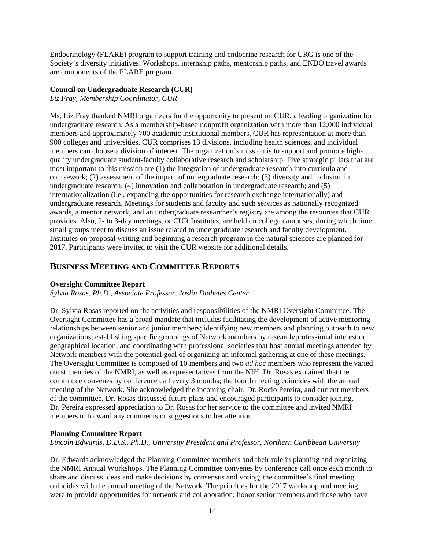Endocrinology (FLARE) program to support training and endocrine research for URG is one of the Society's diversity initiatives. Workshops, internship paths, mentorship paths, and ENDO travel awards are components of the FLARE program.

#### **Council on Undergraduate Research (CUR)**

*Liz Fray, Membership Coordinator, CUR*

Ms. Liz Fray thanked NMRI organizers for the opportunity to present on CUR, a leading organization for undergraduate research. As a membership-based nonprofit organization with more than 12,000 individual members and approximately 700 academic institutional members, CUR has representation at more than 900 colleges and universities. CUR comprises 13 divisions, including health sciences, and individual members can choose a division of interest. The organization's mission is to support and promote highquality undergraduate student-faculty collaborative research and scholarship. Five strategic pillars that are most important to this mission are (1) the integration of undergraduate research into curricula and coursework; (2) assessment of the impact of undergraduate research; (3) diversity and inclusion in undergraduate research; (4) innovation and collaboration in undergraduate research; and (5) internationalization (i.e., expanding the opportunities for research exchange internationally) and undergraduate research. Meetings for students and faculty and such services as nationally recognized awards, a mentor network, and an undergraduate researcher's registry are among the resources that CUR provides. Also, 2- to 3-day meetings, or CUR Institutes, are held on college campuses, during which time small groups meet to discuss an issue related to undergraduate research and faculty development. Institutes on proposal writing and beginning a research program in the natural sciences are planned for 2017. Participants were invited to visit the CUR website for additional details.

## **BUSINESS MEETING AND COMMITTEE REPORTS**

### **Oversight Committee Report**

*Sylvia Rosas, Ph.D., Associate Professor, Joslin Diabetes Center*

Dr. Sylvia Rosas reported on the activities and responsibilities of the NMRI Oversight Committee. The Oversight Committee has a broad mandate that includes facilitating the development of active mentoring relationships between senior and junior members; identifying new members and planning outreach to new organizations; establishing specific groupings of Network members by research/professional interest or geographical location; and coordinating with professional societies that host annual meetings attended by Network members with the potential goal of organizing an informal gathering at one of these meetings. The Oversight Committee is composed of 10 members and two *ad hoc* members who represent the varied constituencies of the NMRI, as well as representatives from the NIH. Dr. Rosas explained that the committee convenes by conference call every 3 months; the fourth meeting coincides with the annual meeting of the Network. She acknowledged the incoming chair, Dr. Rocio Pereira, and current members of the committee. Dr. Rosas discussed future plans and encouraged participants to consider joining. Dr. Pereira expressed appreciation to Dr. Rosas for her service to the committee and invited NMRI members to forward any comments or suggestions to her attention.

### **Planning Committee Report**

*Lincoln Edwards, D.D.S., Ph.D., University President and Professor, Northern Caribbean University*

Dr. Edwards acknowledged the Planning Committee members and their role in planning and organizing the NMRI Annual Workshops. The Planning Committee convenes by conference call once each month to share and discuss ideas and make decisions by consensus and voting; the committee's final meeting coincides with the annual meeting of the Network. The priorities for the 2017 workshop and meeting were to provide opportunities for network and collaboration; honor senior members and those who have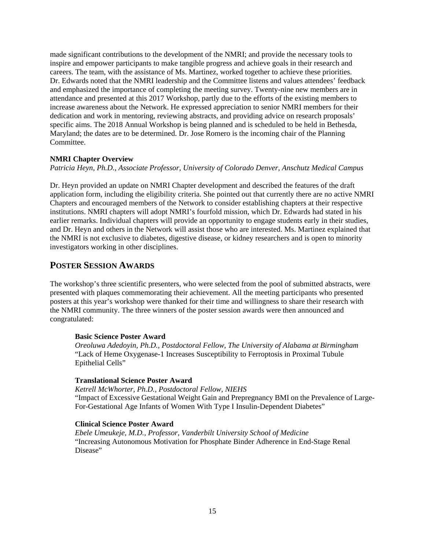made significant contributions to the development of the NMRI; and provide the necessary tools to inspire and empower participants to make tangible progress and achieve goals in their research and careers. The team, with the assistance of Ms. Martinez, worked together to achieve these priorities. Dr. Edwards noted that the NMRI leadership and the Committee listens and values attendees' feedback and emphasized the importance of completing the meeting survey. Twenty-nine new members are in attendance and presented at this 2017 Workshop, partly due to the efforts of the existing members to increase awareness about the Network. He expressed appreciation to senior NMRI members for their dedication and work in mentoring, reviewing abstracts, and providing advice on research proposals' specific aims. The 2018 Annual Workshop is being planned and is scheduled to be held in Bethesda, Maryland; the dates are to be determined. Dr. Jose Romero is the incoming chair of the Planning Committee.

### **NMRI Chapter Overview**

*Patricia Heyn, Ph.D., Associate Professor, University of Colorado Denver, Anschutz Medical Campus*

Dr. Heyn provided an update on NMRI Chapter development and described the features of the draft application form, including the eligibility criteria. She pointed out that currently there are no active NMRI Chapters and encouraged members of the Network to consider establishing chapters at their respective institutions. NMRI chapters will adopt NMRI's fourfold mission, which Dr. Edwards had stated in his earlier remarks. Individual chapters will provide an opportunity to engage students early in their studies, and Dr. Heyn and others in the Network will assist those who are interested. Ms. Martinez explained that the NMRI is not exclusive to diabetes, digestive disease, or kidney researchers and is open to minority investigators working in other disciplines.

## <span id="page-14-0"></span>**POSTER SESSION AWARDS**

The workshop's three scientific presenters, who were selected from the pool of submitted abstracts, were presented with plaques commemorating their achievement. All the meeting participants who presented posters at this year's workshop were thanked for their time and willingness to share their research with the NMRI community. The three winners of the poster session awards were then announced and congratulated:

#### **Basic Science Poster Award**

*Oreoluwa Adedoyin, Ph.D., Postdoctoral Fellow, The University of Alabama at Birmingham* "Lack of Heme Oxygenase-1 Increases Susceptibility to Ferroptosis in Proximal Tubule Epithelial Cells"

#### **Translational Science Poster Award**

*Ketrell McWhorter, Ph.D., Postdoctoral Fellow, NIEHS* "Impact of Excessive Gestational Weight Gain and Prepregnancy BMI on the Prevalence of Large-For-Gestational Age Infants of Women With Type I Insulin-Dependent Diabetes"

#### **Clinical Science Poster Award**

*Ebele Umeukeje, M.D., Professor, Vanderbilt University School of Medicine* "Increasing Autonomous Motivation for Phosphate Binder Adherence in End-Stage Renal Disease"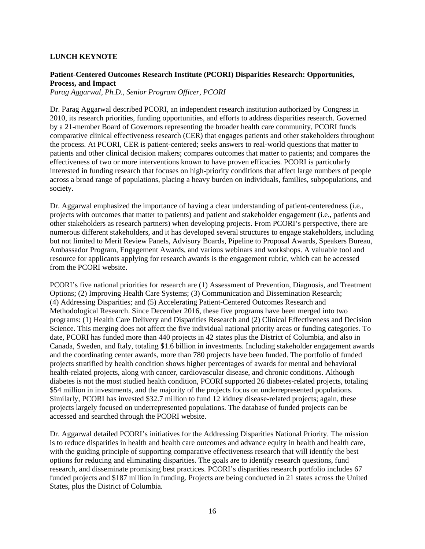### **LUNCH KEYNOTE**

### **Patient-Centered Outcomes Research Institute (PCORI) Disparities Research: Opportunities, Process, and Impact**

*Parag Aggarwal, Ph.D., Senior Program Officer, PCORI*

Dr. Parag Aggarwal described PCORI, an independent research institution authorized by Congress in 2010, its research priorities, funding opportunities, and efforts to address disparities research. Governed by a 21-member Board of Governors representing the broader health care community, PCORI funds comparative clinical effectiveness research (CER) that engages patients and other stakeholders throughout the process. At PCORI, CER is patient-centered; seeks answers to real-world questions that matter to patients and other clinical decision makers; compares outcomes that matter to patients; and compares the effectiveness of two or more interventions known to have proven efficacies. PCORI is particularly interested in funding research that focuses on high-priority conditions that affect large numbers of people across a broad range of populations, placing a heavy burden on individuals, families, subpopulations, and society.

Dr. Aggarwal emphasized the importance of having a clear understanding of patient-centeredness (i.e., projects with outcomes that matter to patients) and patient and stakeholder engagement (i.e., patients and other stakeholders as research partners) when developing projects. From PCORI's perspective, there are numerous different stakeholders, and it has developed several structures to engage stakeholders, including but not limited to Merit Review Panels, Advisory Boards, Pipeline to Proposal Awards, Speakers Bureau, Ambassador Program, Engagement Awards, and various webinars and workshops. A valuable tool and resource for applicants applying for research awards is the engagement rubric, which can be accessed from the PCORI website.

PCORI's five national priorities for research are (1) Assessment of Prevention, Diagnosis, and Treatment Options; (2) Improving Health Care Systems; (3) Communication and Dissemination Research; (4) Addressing Disparities; and (5) Accelerating Patient-Centered Outcomes Research and Methodological Research. Since December 2016, these five programs have been merged into two programs: (1) Health Care Delivery and Disparities Research and (2) Clinical Effectiveness and Decision Science. This merging does not affect the five individual national priority areas or funding categories. To date, PCORI has funded more than 440 projects in 42 states plus the District of Columbia, and also in Canada, Sweden, and Italy, totaling \$1.6 billion in investments. Including stakeholder engagement awards and the coordinating center awards, more than 780 projects have been funded. The portfolio of funded projects stratified by health condition shows higher percentages of awards for mental and behavioral health-related projects, along with cancer, cardiovascular disease, and chronic conditions. Although diabetes is not the most studied health condition, PCORI supported 26 diabetes-related projects, totaling \$54 million in investments, and the majority of the projects focus on underrepresented populations. Similarly, PCORI has invested \$32.7 million to fund 12 kidney disease-related projects; again, these projects largely focused on underrepresented populations. The database of funded projects can be accessed and searched through the PCORI website.

Dr. Aggarwal detailed PCORI's initiatives for the Addressing Disparities National Priority. The mission is to reduce disparities in health and health care outcomes and advance equity in health and health care, with the guiding principle of supporting comparative effectiveness research that will identify the best options for reducing and eliminating disparities. The goals are to identify research questions, fund research, and disseminate promising best practices. PCORI's disparities research portfolio includes 67 funded projects and \$187 million in funding. Projects are being conducted in 21 states across the United States, plus the District of Columbia.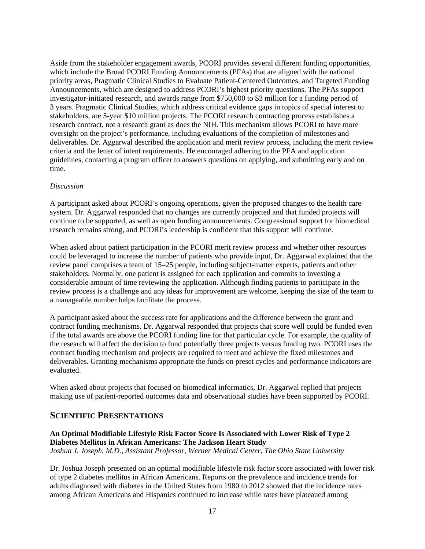Aside from the stakeholder engagement awards, PCORI provides several different funding opportunities, which include the Broad PCORI Funding Announcements (PFAs) that are aligned with the national priority areas, Pragmatic Clinical Studies to Evaluate Patient-Centered Outcomes, and Targeted Funding Announcements, which are designed to address PCORI's highest priority questions. The PFAs support investigator-initiated research, and awards range from \$750,000 to \$3 million for a funding period of 3 years. Pragmatic Clinical Studies, which address critical evidence gaps in topics of special interest to stakeholders, are 5-year \$10 million projects. The PCORI research contracting process establishes a research contract, not a research grant as does the NIH. This mechanism allows PCORI to have more oversight on the project's performance, including evaluations of the completion of milestones and deliverables. Dr. Aggarwal described the application and merit review process, including the merit review criteria and the letter of intent requirements. He encouraged adhering to the PFA and application guidelines, contacting a program officer to answers questions on applying, and submitting early and on time.

#### *Discussion*

A participant asked about PCORI's ongoing operations, given the proposed changes to the health care system. Dr. Aggarwal responded that no changes are currently projected and that funded projects will continue to be supported, as well as open funding announcements. Congressional support for biomedical research remains strong, and PCORI's leadership is confident that this support will continue.

When asked about patient participation in the PCORI merit review process and whether other resources could be leveraged to increase the number of patients who provide input, Dr. Aggarwal explained that the review panel comprises a team of 15–25 people, including subject-matter experts, patients and other stakeholders. Normally, one patient is assigned for each application and commits to investing a considerable amount of time reviewing the application. Although finding patients to participate in the review process is a challenge and any ideas for improvement are welcome, keeping the size of the team to a manageable number helps facilitate the process.

A participant asked about the success rate for applications and the difference between the grant and contract funding mechanisms. Dr. Aggarwal responded that projects that score well could be funded even if the total awards are above the PCORI funding line for that particular cycle. For example, the quality of the research will affect the decision to fund potentially three projects versus funding two. PCORI uses the contract funding mechanism and projects are required to meet and achieve the fixed milestones and deliverables. Granting mechanisms appropriate the funds on preset cycles and performance indicators are evaluated.

When asked about projects that focused on biomedical informatics, Dr. Aggarwal replied that projects making use of patient-reported outcomes data and observational studies have been supported by PCORI.

## **SCIENTIFIC PRESENTATIONS**

### **An Optimal Modifiable Lifestyle Risk Factor Score Is Associated with Lower Risk of Type 2 Diabetes Mellitus in African Americans: The Jackson Heart Study**  *Joshua J. Joseph, M.D., Assistant Professor, Werner Medical Center, The Ohio State University*

Dr. Joshua Joseph presented on an optimal modifiable lifestyle risk factor score associated with lower risk of type 2 diabetes mellitus in African Americans. Reports on the prevalence and incidence trends for adults diagnosed with diabetes in the United States from 1980 to 2012 showed that the incidence rates among African Americans and Hispanics continued to increase while rates have plateaued among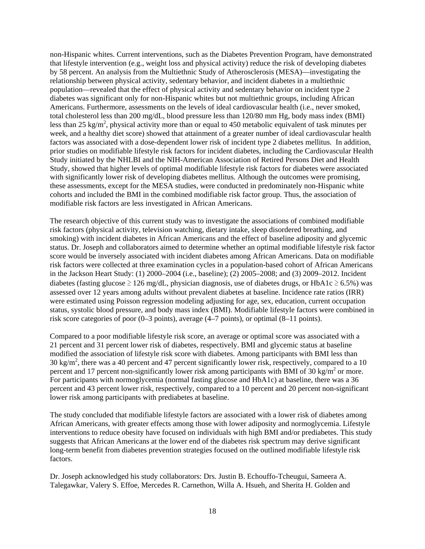non-Hispanic whites. Current interventions, such as the Diabetes Prevention Program, have demonstrated that lifestyle intervention (e.g., weight loss and physical activity) reduce the risk of developing diabetes by 58 percent. An analysis from the Multiethnic Study of Atherosclerosis (MESA)—investigating the relationship between physical activity, sedentary behavior, and incident diabetes in a multiethnic population—revealed that the effect of physical activity and sedentary behavior on incident type 2 diabetes was significant only for non-Hispanic whites but not multiethnic groups, including African Americans. Furthermore, assessments on the levels of ideal cardiovascular health (i.e., never smoked, total cholesterol less than 200 mg/dL, blood pressure less than 120/80 mm Hg, body mass index (BMI) less than 25 kg/m<sup>2</sup>, physical activity more than or equal to 450 metabolic equivalent of task minutes per week, and a healthy diet score) showed that attainment of a greater number of ideal cardiovascular health factors was associated with a dose-dependent lower risk of incident type 2 diabetes mellitus. In addition, prior studies on modifiable lifestyle risk factors for incident diabetes, including the Cardiovascular Health Study initiated by the NHLBI and the NIH-American Association of Retired Persons Diet and Health Study, showed that higher levels of optimal modifiable lifestyle risk factors for diabetes were associated with significantly lower risk of developing diabetes mellitus. Although the outcomes were promising, these assessments, except for the MESA studies, were conducted in predominately non-Hispanic white cohorts and included the BMI in the combined modifiable risk factor group. Thus, the association of modifiable risk factors are less investigated in African Americans.

The research objective of this current study was to investigate the associations of combined modifiable risk factors (physical activity, television watching, dietary intake, sleep disordered breathing, and smoking) with incident diabetes in African Americans and the effect of baseline adiposity and glycemic status. Dr. Joseph and collaborators aimed to determine whether an optimal modifiable lifestyle risk factor score would be inversely associated with incident diabetes among African Americans. Data on modifiable risk factors were collected at three examination cycles in a population-based cohort of African Americans in the Jackson Heart Study: (1) 2000–2004 (i.e., baseline); (2) 2005–2008; and (3) 2009–2012. Incident diabetes (fasting glucose  $\geq 126$  mg/dL, physician diagnosis, use of diabetes drugs, or HbA1c  $\geq 6.5\%$ ) was assessed over 12 years among adults without prevalent diabetes at baseline. Incidence rate ratios (IRR) were estimated using Poisson regression modeling adjusting for age, sex, education, current occupation status, systolic blood pressure, and body mass index (BMI). Modifiable lifestyle factors were combined in risk score categories of poor (0–3 points), average (4–7 points), or optimal (8–11 points).

Compared to a poor modifiable lifestyle risk score, an average or optimal score was associated with a 21 percent and 31 percent lower risk of diabetes, respectively. BMI and glycemic status at baseline modified the association of lifestyle risk score with diabetes. Among participants with BMI less than 30 kg/m<sup>2</sup>, there was a 40 percent and 47 percent significantly lower risk, respectively, compared to a 10 percent and 17 percent non-significantly lower risk among participants with BMI of 30 kg/m<sup>2</sup> or more. For participants with normoglycemia (normal fasting glucose and HbA1c) at baseline, there was a 36 percent and 43 percent lower risk, respectively, compared to a 10 percent and 20 percent non-significant lower risk among participants with prediabetes at baseline.

The study concluded that modifiable lifestyle factors are associated with a lower risk of diabetes among African Americans, with greater effects among those with lower adiposity and normoglycemia. Lifestyle interventions to reduce obesity have focused on individuals with high BMI and/or prediabetes. This study suggests that African Americans at the lower end of the diabetes risk spectrum may derive significant long-term benefit from diabetes prevention strategies focused on the outlined modifiable lifestyle risk factors.

Dr. Joseph acknowledged his study collaborators: Drs. Justin B. Echouffo-Tcheugui, Sameera A. Talegawkar, Valery S. Effoe, Mercedes R. Carnethon, Willa A. Hsueh, and Sherita H. Golden and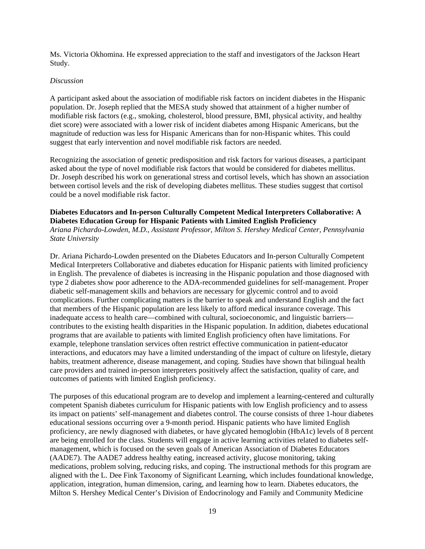Ms. Victoria Okhomina. He expressed appreciation to the staff and investigators of the Jackson Heart Study.

### *Discussion*

A participant asked about the association of modifiable risk factors on incident diabetes in the Hispanic population. Dr. Joseph replied that the MESA study showed that attainment of a higher number of modifiable risk factors (e.g., smoking, cholesterol, blood pressure, BMI, physical activity, and healthy diet score) were associated with a lower risk of incident diabetes among Hispanic Americans, but the magnitude of reduction was less for Hispanic Americans than for non-Hispanic whites. This could suggest that early intervention and novel modifiable risk factors are needed.

Recognizing the association of genetic predisposition and risk factors for various diseases, a participant asked about the type of novel modifiable risk factors that would be considered for diabetes mellitus. Dr. Joseph described his work on generational stress and cortisol levels, which has shown an association between cortisol levels and the risk of developing diabetes mellitus. These studies suggest that cortisol could be a novel modifiable risk factor.

## **Diabetes Educators and In-person Culturally Competent Medical Interpreters Collaborative: A Diabetes Education Group for Hispanic Patients with Limited English Proficiency**

*Ariana Pichardo-Lowden, M.D., Assistant Professor, Milton S. Hershey Medical Center, Pennsylvania State University*

Dr. Ariana Pichardo-Lowden presented on the Diabetes Educators and In-person Culturally Competent Medical Interpreters Collaborative and diabetes education for Hispanic patients with limited proficiency in English. The prevalence of diabetes is increasing in the Hispanic population and those diagnosed with type 2 diabetes show poor adherence to the ADA-recommended guidelines for self-management. Proper diabetic self-management skills and behaviors are necessary for glycemic control and to avoid complications. Further complicating matters is the barrier to speak and understand English and the fact that members of the Hispanic population are less likely to afford medical insurance coverage. This inadequate access to health care—combined with cultural, socioeconomic, and linguistic barriers contributes to the existing health disparities in the Hispanic population. In addition, diabetes educational programs that are available to patients with limited English proficiency often have limitations. For example, telephone translation services often restrict effective communication in patient-educator interactions, and educators may have a limited understanding of the impact of culture on lifestyle, dietary habits, treatment adherence, disease management, and coping. Studies have shown that bilingual health care providers and trained in-person interpreters positively affect the satisfaction, quality of care, and outcomes of patients with limited English proficiency.

The purposes of this educational program are to develop and implement a learning-centered and culturally competent Spanish diabetes curriculum for Hispanic patients with low English proficiency and to assess its impact on patients' self-management and diabetes control. The course consists of three 1-hour diabetes educational sessions occurring over a 9-month period. Hispanic patients who have limited English proficiency, are newly diagnosed with diabetes, or have glycated hemoglobin (HbA1c) levels of 8 percent are being enrolled for the class. Students will engage in active learning activities related to diabetes selfmanagement, which is focused on the seven goals of American Association of Diabetes Educators (AADE7). The AADE7 address healthy eating, increased activity, glucose monitoring, taking medications, problem solving, reducing risks, and coping. The instructional methods for this program are aligned with the L. Dee Fink Taxonomy of Significant Learning, which includes foundational knowledge, application, integration, human dimension, caring, and learning how to learn. Diabetes educators, the Milton S. Hershey Medical Center's Division of Endocrinology and Family and Community Medicine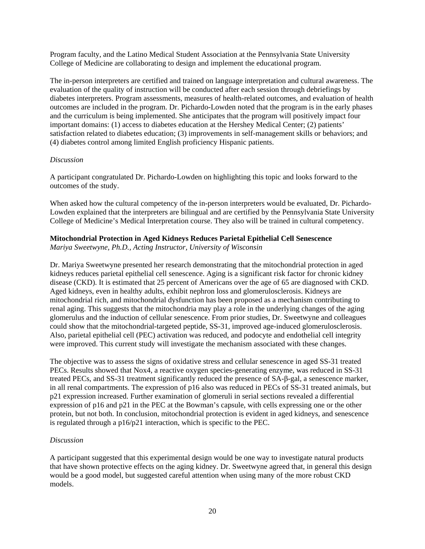Program faculty, and the Latino Medical Student Association at the Pennsylvania State University College of Medicine are collaborating to design and implement the educational program.

The in-person interpreters are certified and trained on language interpretation and cultural awareness. The evaluation of the quality of instruction will be conducted after each session through debriefings by diabetes interpreters. Program assessments, measures of health-related outcomes, and evaluation of health outcomes are included in the program. Dr. Pichardo-Lowden noted that the program is in the early phases and the curriculum is being implemented. She anticipates that the program will positively impact four important domains: (1) access to diabetes education at the Hershey Medical Center; (2) patients' satisfaction related to diabetes education; (3) improvements in self-management skills or behaviors; and (4) diabetes control among limited English proficiency Hispanic patients.

### *Discussion*

A participant congratulated Dr. Pichardo-Lowden on highlighting this topic and looks forward to the outcomes of the study.

When asked how the cultural competency of the in-person interpreters would be evaluated, Dr. Pichardo-Lowden explained that the interpreters are bilingual and are certified by the Pennsylvania State University College of Medicine's Medical Interpretation course. They also will be trained in cultural competency.

## **Mitochondrial Protection in Aged Kidneys Reduces Parietal Epithelial Cell Senescence**

*Mariya Sweetwyne, Ph.D., Acting Instructor, University of Wisconsin*

Dr. Mariya Sweetwyne presented her research demonstrating that the mitochondrial protection in aged kidneys reduces parietal epithelial cell senescence. Aging is a significant risk factor for chronic kidney disease (CKD). It is estimated that 25 percent of Americans over the age of 65 are diagnosed with CKD. Aged kidneys, even in healthy adults, exhibit nephron loss and glomerulosclerosis. Kidneys are mitochondrial rich, and mitochondrial dysfunction has been proposed as a mechanism contributing to renal aging. This suggests that the mitochondria may play a role in the underlying changes of the aging glomerulus and the induction of cellular senescence. From prior studies, Dr. Sweetwyne and colleagues could show that the mitochondrial-targeted peptide, SS-31, improved age-induced glomerulosclerosis. Also, parietal epithelial cell (PEC) activation was reduced, and podocyte and endothelial cell integrity were improved. This current study will investigate the mechanism associated with these changes.

The objective was to assess the signs of oxidative stress and cellular senescence in aged SS-31 treated PECs. Results showed that Nox4, a reactive oxygen species-generating enzyme, was reduced in SS-31 treated PECs, and SS-31 treatment significantly reduced the presence of SA-β-gal, a senescence marker, in all renal compartments. The expression of p16 also was reduced in PECs of SS-31 treated animals, but p21 expression increased. Further examination of glomeruli in serial sections revealed a differential expression of p16 and p21 in the PEC at the Bowman's capsule, with cells expressing one or the other protein, but not both. In conclusion, mitochondrial protection is evident in aged kidneys, and senescence is regulated through a p16/p21 interaction, which is specific to the PEC.

### *Discussion*

A participant suggested that this experimental design would be one way to investigate natural products that have shown protective effects on the aging kidney. Dr. Sweetwyne agreed that, in general this design would be a good model, but suggested careful attention when using many of the more robust CKD models.